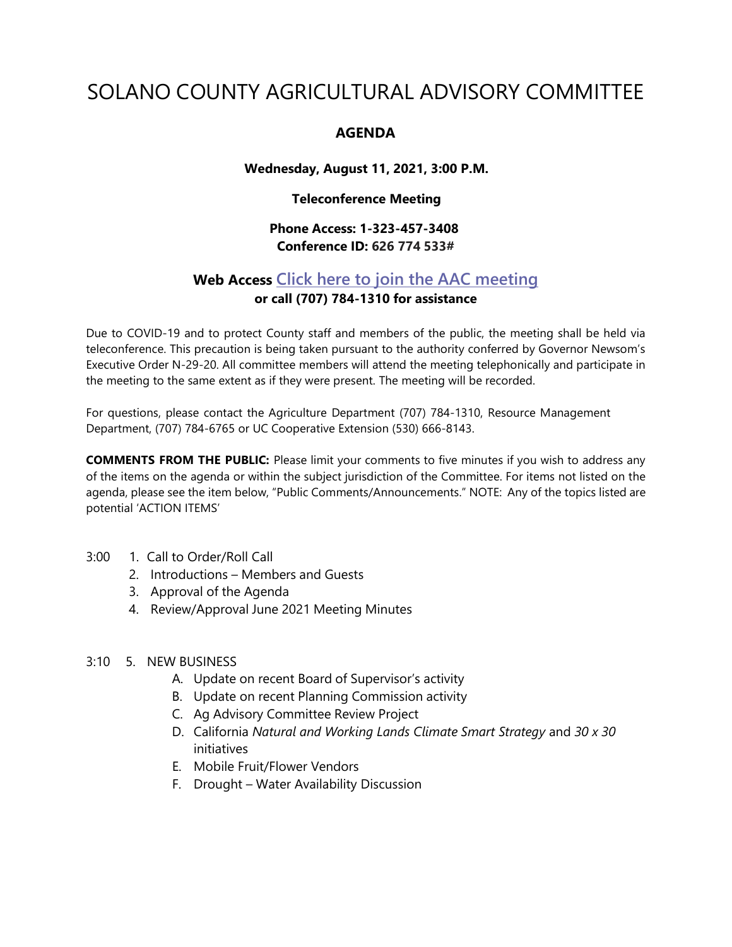# SOLANO COUNTY AGRICULTURAL ADVISORY COMMITTEE

## **AGENDA**

## **Wednesday, August 11, 2021, 3:00 P.M.**

## **Teleconference Meeting**

# **Phone Access: 1-323-457-3408 Conference ID: 626 774 533#**

# **Web Access Click here to join the AAC [meeting](https://teams.microsoft.com/l/meetup-join/19%3ameeting_MDI1ZDEyYmItY2I4Zi00MWMxLWIxM2ItNzRiYmRmMWY5ZGNk%40thread.v2/0?context=%7b%22Tid%22%3a%225e7f20ac-e5f1-4f83-8c3b-ce44b8486421%22%2c%22Oid%22%3a%229b7e0b10-9feb-4114-92ef-db737a66fd13%22%7d) or call (707) 784-1310 for assistance**

Due to COVID-19 and to protect County staff and members of the public, the meeting shall be held via teleconference. This precaution is being taken pursuant to the authority conferred by Governor Newsom's Executive Order N-29-20. All committee members will attend the meeting telephonically and participate in the meeting to the same extent as if they were present. The meeting will be recorded.

For questions, please contact the Agriculture Department (707) 784-1310, Resource Management Department, (707) 784-6765 or UC Cooperative Extension (530) 666-8143.

**COMMENTS FROM THE PUBLIC:** Please limit your comments to five minutes if you wish to address any of the items on the agenda or within the subject jurisdiction of the Committee. For items not listed on the agenda, please see the item below, "Public Comments/Announcements." NOTE: Any of the topics listed are potential 'ACTION ITEMS'

- 3:00 1. Call to Order/Roll Call
	- 2. Introductions Members and Guests
	- 3. Approval of the Agenda
	- 4. Review/Approval June 2021 Meeting Minutes

#### 3:10 5. NEW BUSINESS

- A. Update on recent Board of Supervisor's activity
- B. Update on recent Planning Commission activity
- C. Ag Advisory Committee Review Project
- D. California *Natural and Working Lands Climate Smart Strategy* and *30 x 30*  initiatives
- E. Mobile Fruit/Flower Vendors
- F. Drought Water Availability Discussion